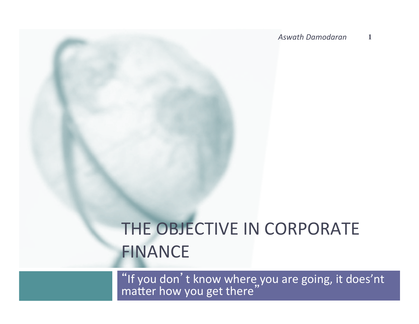*Aswath Damodaran*  **1**

# THE OBJECTIVE IN CORPORATE FINANCE

"If you don't know where you are going, it does'nt  $m$ atter how you get there"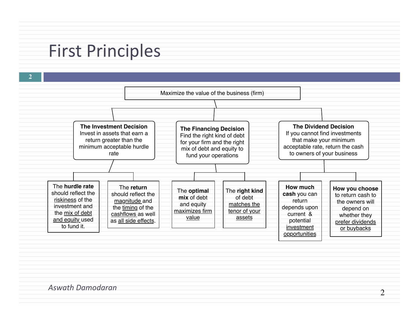#### **First Principles**

**2 The Investment Decision** Invest in assets that earn a return greater than the minimum acceptable hurdle rate **The Financing Decision** Find the right kind of debt for your firm and the right mix of debt and equity to fund your operations **The Dividend Decision** If you cannot find investments that make your minimum acceptable rate, return the cash to owners of your business The **hurdle rate** should reflect the riskiness of the investment and the mix of debt and equity used to fund it. The **return** should reflect the magnitude and the timing of the cashflows as well as all side effects. The **optimal mix** of debt and equity maximizes firm value The **right kind** of debt matches the tenor of your assets **How much cash** you can return depends upon current & potential investment opportunities **How you choose**  to return cash to the owners will depend on whether they prefer dividends or buybacks Maximize the value of the business (firm)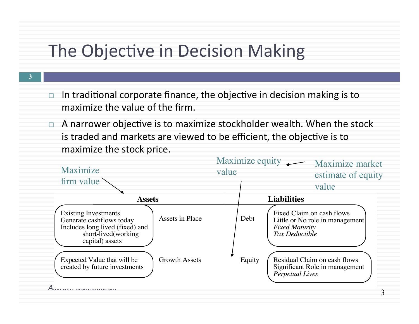## The Objective in Decision Making

**3**

- $\Box$  In traditional corporate finance, the objective in decision making is to maximize the value of the firm.
- $\Box$  A narrower objective is to maximize stockholder wealth. When the stock is traded and markets are viewed to be efficient, the objective is to maximize the stock price.

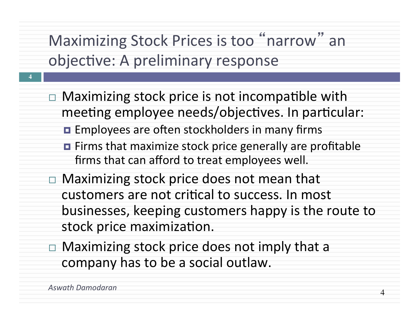Maximizing Stock Prices is too "narrow" an objective: A preliminary response

- $\Box$  Maximizing stock price is not incompatible with meeting employee needs/objectives. In particular:
	- **EMPLO EMPLO And SET EMPLOYEES** are often stockholders in many firms
	- $\blacksquare$  Firms that maximize stock price generally are profitable firms that can afford to treat employees well.
- $\Box$  Maximizing stock price does not mean that customers are not critical to success. In most businesses, keeping customers happy is the route to stock price maximization.
- $\Box$  Maximizing stock price does not imply that a company has to be a social outlaw.

**4**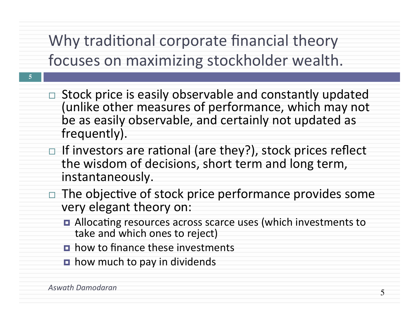## Why traditional corporate financial theory focuses on maximizing stockholder wealth.

- $\Box$  Stock price is easily observable and constantly updated (unlike other measures of performance, which may not be as easily observable, and certainly not updated as frequently).
- $\Box$  If investors are rational (are they?), stock prices reflect the wisdom of decisions, short term and long term, instantaneously.
- The objective of stock price performance provides some very elegant theory on:
	- Allocating resources across scarce uses (which investments to take and which ones to reject)
	- $\blacksquare$  how to finance these investments
	- $\blacksquare$  how much to pay in dividends

**5**